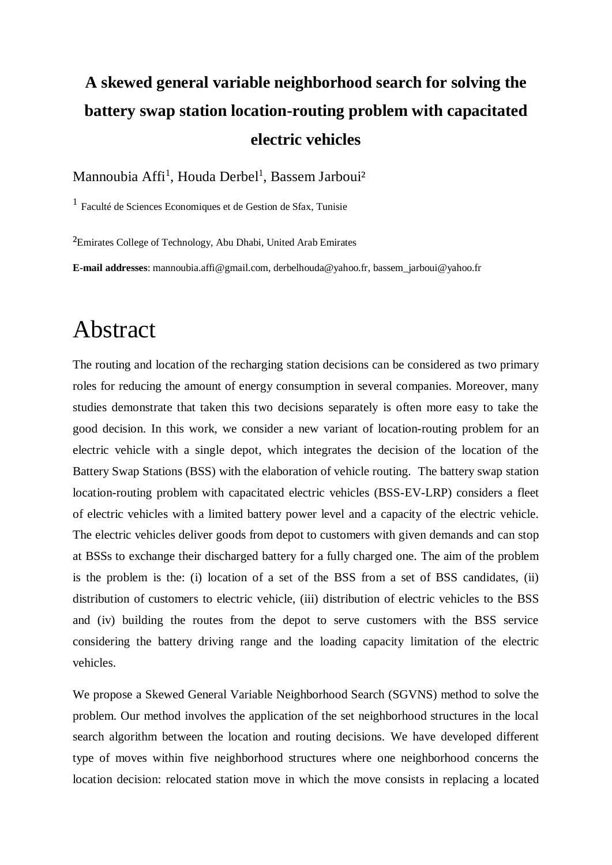## **A skewed general variable neighborhood search for solving the battery swap station location-routing problem with capacitated electric vehicles**

Mannoubia Affi<sup>1</sup>, Houda Derbel<sup>1</sup>, Bassem Jarboui<sup>2</sup>

1 Faculté de Sciences Economiques et de Gestion de Sfax, Tunisie

²Emirates College of Technology, Abu Dhabi, United Arab Emirates

**E-mail addresses**: mannoubia.affi@gmail.com, derbelhouda@yahoo.fr, bassem\_jarboui@yahoo.fr

## Abstract

The routing and location of the recharging station decisions can be considered as two primary roles for reducing the amount of energy consumption in several companies. Moreover, many studies demonstrate that taken this two decisions separately is often more easy to take the good decision. In this work, we consider a new variant of location-routing problem for an electric vehicle with a single depot, which integrates the decision of the location of the Battery Swap Stations (BSS) with the elaboration of vehicle routing. The battery swap station location-routing problem with capacitated electric vehicles (BSS-EV-LRP) considers a fleet of electric vehicles with a limited battery power level and a capacity of the electric vehicle. The electric vehicles deliver goods from depot to customers with given demands and can stop at BSSs to exchange their discharged battery for a fully charged one. The aim of the problem is the problem is the: (i) location of a set of the BSS from a set of BSS candidates, (ii) distribution of customers to electric vehicle, (iii) distribution of electric vehicles to the BSS and (iv) building the routes from the depot to serve customers with the BSS service considering the battery driving range and the loading capacity limitation of the electric vehicles.

We propose a Skewed General Variable Neighborhood Search (SGVNS) method to solve the problem. Our method involves the application of the set neighborhood structures in the local search algorithm between the location and routing decisions. We have developed different type of moves within five neighborhood structures where one neighborhood concerns the location decision: relocated station move in which the move consists in replacing a located